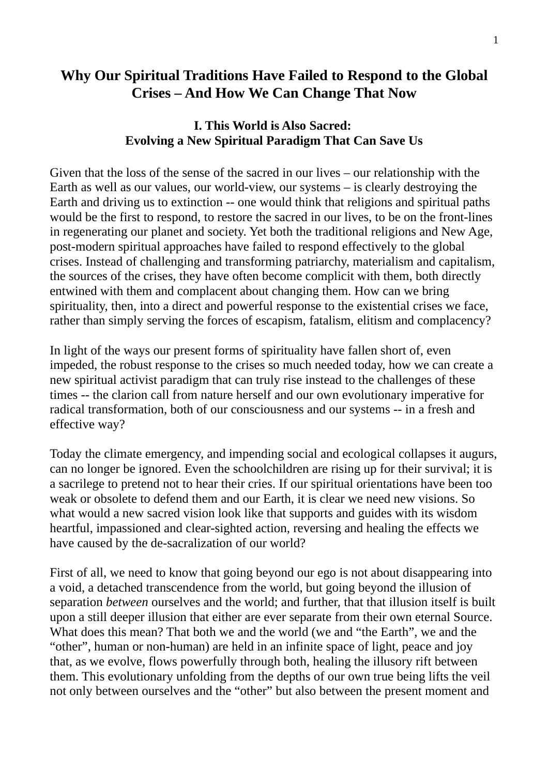## **Why Our Spiritual Traditions Have Failed to Respond to the Global Crises – And How We Can Change That Now**

## **I. This World is Also Sacred: Evolving a New Spiritual Paradigm That Can Save Us**

Given that the loss of the sense of the sacred in our lives – our relationship with the Earth as well as our values, our world-view, our systems – is clearly destroying the Earth and driving us to extinction -- one would think that religions and spiritual paths would be the first to respond, to restore the sacred in our lives, to be on the front-lines in regenerating our planet and society. Yet both the traditional religions and New Age, post-modern spiritual approaches have failed to respond effectively to the global crises. Instead of challenging and transforming patriarchy, materialism and capitalism, the sources of the crises, they have often become complicit with them, both directly entwined with them and complacent about changing them. How can we bring spirituality, then, into a direct and powerful response to the existential crises we face, rather than simply serving the forces of escapism, fatalism, elitism and complacency?

In light of the ways our present forms of spirituality have fallen short of, even impeded, the robust response to the crises so much needed today, how we can create a new spiritual activist paradigm that can truly rise instead to the challenges of these times -- the clarion call from nature herself and our own evolutionary imperative for radical transformation, both of our consciousness and our systems -- in a fresh and effective way?

Today the climate emergency, and impending social and ecological collapses it augurs, can no longer be ignored. Even the schoolchildren are rising up for their survival; it is a sacrilege to pretend not to hear their cries. If our spiritual orientations have been too weak or obsolete to defend them and our Earth, it is clear we need new visions. So what would a new sacred vision look like that supports and guides with its wisdom heartful, impassioned and clear-sighted action, reversing and healing the effects we have caused by the de-sacralization of our world?

First of all, we need to know that going beyond our ego is not about disappearing into a void, a detached transcendence from the world, but going beyond the illusion of separation *between* ourselves and the world; and further, that that illusion itself is built upon a still deeper illusion that either are ever separate from their own eternal Source. What does this mean? That both we and the world (we and "the Earth", we and the "other", human or non-human) are held in an infinite space of light, peace and joy that, as we evolve, flows powerfully through both, healing the illusory rift between them. This evolutionary unfolding from the depths of our own true being lifts the veil not only between ourselves and the "other" but also between the present moment and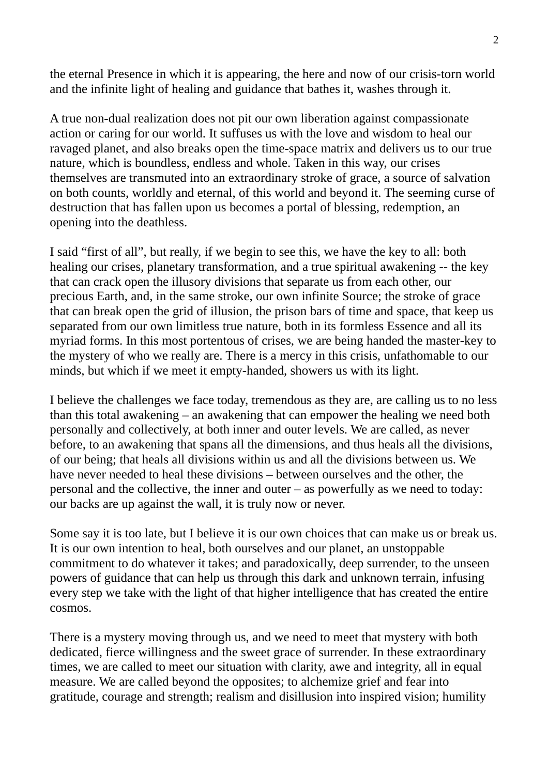the eternal Presence in which it is appearing, the here and now of our crisis-torn world and the infinite light of healing and guidance that bathes it, washes through it.

A true non-dual realization does not pit our own liberation against compassionate action or caring for our world. It suffuses us with the love and wisdom to heal our ravaged planet, and also breaks open the time-space matrix and delivers us to our true nature, which is boundless, endless and whole. Taken in this way, our crises themselves are transmuted into an extraordinary stroke of grace, a source of salvation on both counts, worldly and eternal, of this world and beyond it. The seeming curse of destruction that has fallen upon us becomes a portal of blessing, redemption, an opening into the deathless.

I said "first of all", but really, if we begin to see this, we have the key to all: both healing our crises, planetary transformation, and a true spiritual awakening -- the key that can crack open the illusory divisions that separate us from each other, our precious Earth, and, in the same stroke, our own infinite Source; the stroke of grace that can break open the grid of illusion, the prison bars of time and space, that keep us separated from our own limitless true nature, both in its formless Essence and all its myriad forms. In this most portentous of crises, we are being handed the master-key to the mystery of who we really are. There is a mercy in this crisis, unfathomable to our minds, but which if we meet it empty-handed, showers us with its light.

I believe the challenges we face today, tremendous as they are, are calling us to no less than this total awakening – an awakening that can empower the healing we need both personally and collectively, at both inner and outer levels. We are called, as never before, to an awakening that spans all the dimensions, and thus heals all the divisions, of our being; that heals all divisions within us and all the divisions between us. We have never needed to heal these divisions – between ourselves and the other, the personal and the collective, the inner and outer – as powerfully as we need to today: our backs are up against the wall, it is truly now or never.

Some say it is too late, but I believe it is our own choices that can make us or break us. It is our own intention to heal, both ourselves and our planet, an unstoppable commitment to do whatever it takes; and paradoxically, deep surrender, to the unseen powers of guidance that can help us through this dark and unknown terrain, infusing every step we take with the light of that higher intelligence that has created the entire cosmos.

There is a mystery moving through us, and we need to meet that mystery with both dedicated, fierce willingness and the sweet grace of surrender. In these extraordinary times, we are called to meet our situation with clarity, awe and integrity, all in equal measure. We are called beyond the opposites; to alchemize grief and fear into gratitude, courage and strength; realism and disillusion into inspired vision; humility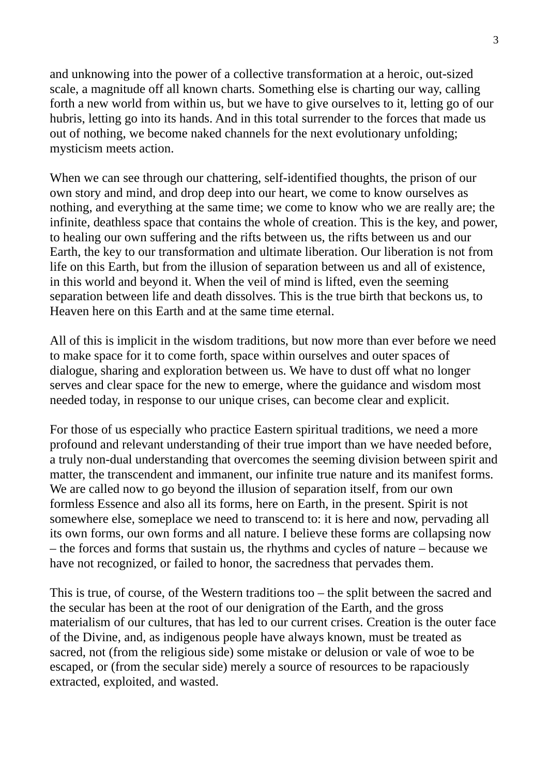and unknowing into the power of a collective transformation at a heroic, out-sized scale, a magnitude off all known charts. Something else is charting our way, calling forth a new world from within us, but we have to give ourselves to it, letting go of our hubris, letting go into its hands. And in this total surrender to the forces that made us out of nothing, we become naked channels for the next evolutionary unfolding; mysticism meets action.

When we can see through our chattering, self-identified thoughts, the prison of our own story and mind, and drop deep into our heart, we come to know ourselves as nothing, and everything at the same time; we come to know who we are really are; the infinite, deathless space that contains the whole of creation. This is the key, and power, to healing our own suffering and the rifts between us, the rifts between us and our Earth, the key to our transformation and ultimate liberation. Our liberation is not from life on this Earth, but from the illusion of separation between us and all of existence, in this world and beyond it. When the veil of mind is lifted, even the seeming separation between life and death dissolves. This is the true birth that beckons us, to Heaven here on this Earth and at the same time eternal.

All of this is implicit in the wisdom traditions, but now more than ever before we need to make space for it to come forth, space within ourselves and outer spaces of dialogue, sharing and exploration between us. We have to dust off what no longer serves and clear space for the new to emerge, where the guidance and wisdom most needed today, in response to our unique crises, can become clear and explicit.

For those of us especially who practice Eastern spiritual traditions, we need a more profound and relevant understanding of their true import than we have needed before, a truly non-dual understanding that overcomes the seeming division between spirit and matter, the transcendent and immanent, our infinite true nature and its manifest forms. We are called now to go beyond the illusion of separation itself, from our own formless Essence and also all its forms, here on Earth, in the present. Spirit is not somewhere else, someplace we need to transcend to: it is here and now, pervading all its own forms, our own forms and all nature. I believe these forms are collapsing now – the forces and forms that sustain us, the rhythms and cycles of nature – because we have not recognized, or failed to honor, the sacredness that pervades them.

This is true, of course, of the Western traditions too – the split between the sacred and the secular has been at the root of our denigration of the Earth, and the gross materialism of our cultures, that has led to our current crises. Creation is the outer face of the Divine, and, as indigenous people have always known, must be treated as sacred, not (from the religious side) some mistake or delusion or vale of woe to be escaped, or (from the secular side) merely a source of resources to be rapaciously extracted, exploited, and wasted.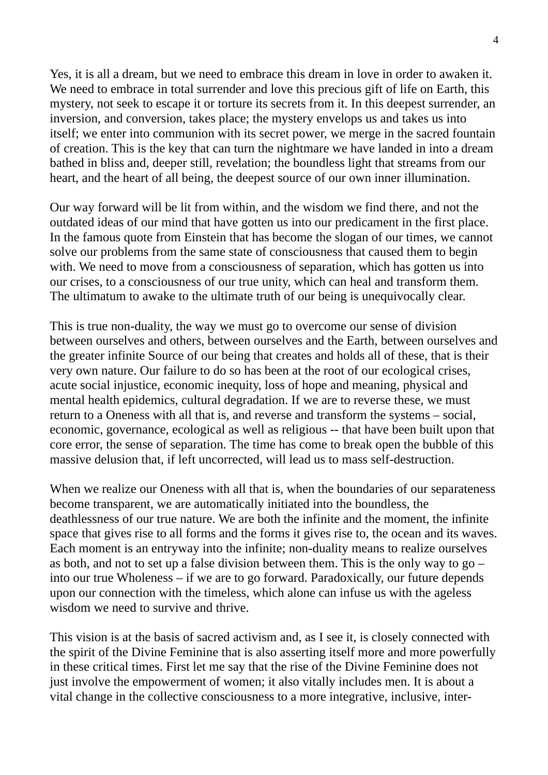Yes, it is all a dream, but we need to embrace this dream in love in order to awaken it. We need to embrace in total surrender and love this precious gift of life on Earth, this mystery, not seek to escape it or torture its secrets from it. In this deepest surrender, an inversion, and conversion, takes place; the mystery envelops us and takes us into itself; we enter into communion with its secret power, we merge in the sacred fountain of creation. This is the key that can turn the nightmare we have landed in into a dream bathed in bliss and, deeper still, revelation; the boundless light that streams from our heart, and the heart of all being, the deepest source of our own inner illumination.

Our way forward will be lit from within, and the wisdom we find there, and not the outdated ideas of our mind that have gotten us into our predicament in the first place. In the famous quote from Einstein that has become the slogan of our times, we cannot solve our problems from the same state of consciousness that caused them to begin with. We need to move from a consciousness of separation, which has gotten us into our crises, to a consciousness of our true unity, which can heal and transform them. The ultimatum to awake to the ultimate truth of our being is unequivocally clear.

This is true non-duality, the way we must go to overcome our sense of division between ourselves and others, between ourselves and the Earth, between ourselves and the greater infinite Source of our being that creates and holds all of these, that is their very own nature. Our failure to do so has been at the root of our ecological crises, acute social injustice, economic inequity, loss of hope and meaning, physical and mental health epidemics, cultural degradation. If we are to reverse these, we must return to a Oneness with all that is, and reverse and transform the systems – social, economic, governance, ecological as well as religious -- that have been built upon that core error, the sense of separation. The time has come to break open the bubble of this massive delusion that, if left uncorrected, will lead us to mass self-destruction.

When we realize our Oneness with all that is, when the boundaries of our separateness become transparent, we are automatically initiated into the boundless, the deathlessness of our true nature. We are both the infinite and the moment, the infinite space that gives rise to all forms and the forms it gives rise to, the ocean and its waves. Each moment is an entryway into the infinite; non-duality means to realize ourselves as both, and not to set up a false division between them. This is the only way to  $g_0$  – into our true Wholeness – if we are to go forward. Paradoxically, our future depends upon our connection with the timeless, which alone can infuse us with the ageless wisdom we need to survive and thrive.

This vision is at the basis of sacred activism and, as I see it, is closely connected with the spirit of the Divine Feminine that is also asserting itself more and more powerfully in these critical times. First let me say that the rise of the Divine Feminine does not just involve the empowerment of women; it also vitally includes men. It is about a vital change in the collective consciousness to a more integrative, inclusive, inter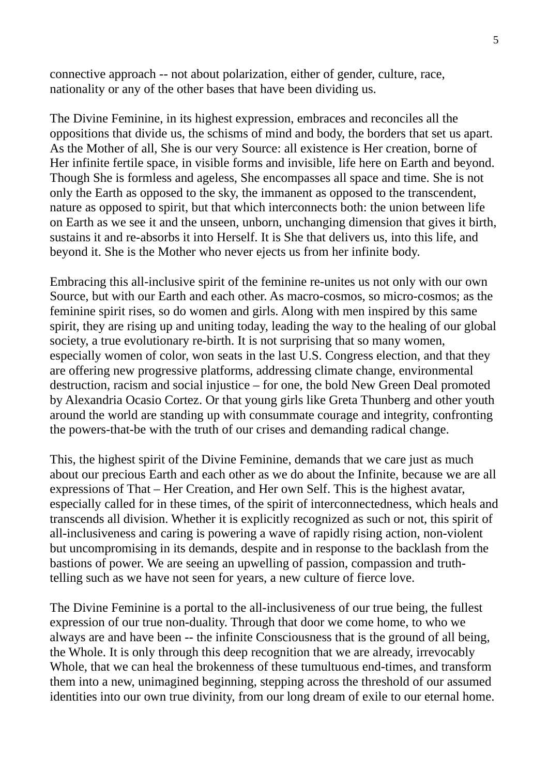connective approach -- not about polarization, either of gender, culture, race, nationality or any of the other bases that have been dividing us.

The Divine Feminine, in its highest expression, embraces and reconciles all the oppositions that divide us, the schisms of mind and body, the borders that set us apart. As the Mother of all, She is our very Source: all existence is Her creation, borne of Her infinite fertile space, in visible forms and invisible, life here on Earth and beyond. Though She is formless and ageless, She encompasses all space and time. She is not only the Earth as opposed to the sky, the immanent as opposed to the transcendent, nature as opposed to spirit, but that which interconnects both: the union between life on Earth as we see it and the unseen, unborn, unchanging dimension that gives it birth, sustains it and re-absorbs it into Herself. It is She that delivers us, into this life, and beyond it. She is the Mother who never ejects us from her infinite body.

Embracing this all-inclusive spirit of the feminine re-unites us not only with our own Source, but with our Earth and each other. As macro-cosmos, so micro-cosmos; as the feminine spirit rises, so do women and girls. Along with men inspired by this same spirit, they are rising up and uniting today, leading the way to the healing of our global society, a true evolutionary re-birth. It is not surprising that so many women, especially women of color, won seats in the last U.S. Congress election, and that they are offering new progressive platforms, addressing climate change, environmental destruction, racism and social injustice – for one, the bold New Green Deal promoted by Alexandria Ocasio Cortez. Or that young girls like Greta Thunberg and other youth around the world are standing up with consummate courage and integrity, confronting the powers-that-be with the truth of our crises and demanding radical change.

This, the highest spirit of the Divine Feminine, demands that we care just as much about our precious Earth and each other as we do about the Infinite, because we are all expressions of That – Her Creation, and Her own Self. This is the highest avatar, especially called for in these times, of the spirit of interconnectedness, which heals and transcends all division. Whether it is explicitly recognized as such or not, this spirit of all-inclusiveness and caring is powering a wave of rapidly rising action, non-violent but uncompromising in its demands, despite and in response to the backlash from the bastions of power. We are seeing an upwelling of passion, compassion and truthtelling such as we have not seen for years, a new culture of fierce love.

The Divine Feminine is a portal to the all-inclusiveness of our true being, the fullest expression of our true non-duality. Through that door we come home, to who we always are and have been -- the infinite Consciousness that is the ground of all being, the Whole. It is only through this deep recognition that we are already, irrevocably Whole, that we can heal the brokenness of these tumultuous end-times, and transform them into a new, unimagined beginning, stepping across the threshold of our assumed identities into our own true divinity, from our long dream of exile to our eternal home.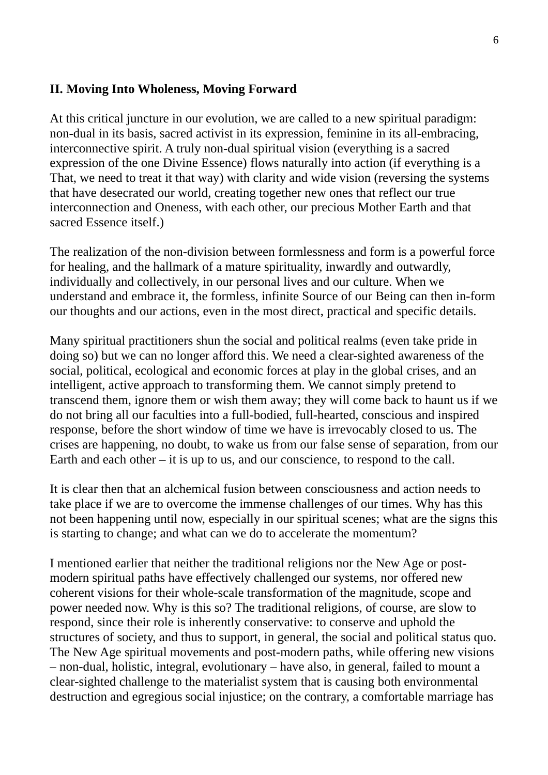## **II. Moving Into Wholeness, Moving Forward**

At this critical juncture in our evolution, we are called to a new spiritual paradigm: non-dual in its basis, sacred activist in its expression, feminine in its all-embracing, interconnective spirit. A truly non-dual spiritual vision (everything is a sacred expression of the one Divine Essence) flows naturally into action (if everything is a That, we need to treat it that way) with clarity and wide vision (reversing the systems that have desecrated our world, creating together new ones that reflect our true interconnection and Oneness, with each other, our precious Mother Earth and that sacred Essence itself.)

The realization of the non-division between formlessness and form is a powerful force for healing, and the hallmark of a mature spirituality, inwardly and outwardly, individually and collectively, in our personal lives and our culture. When we understand and embrace it, the formless, infinite Source of our Being can then in-form our thoughts and our actions, even in the most direct, practical and specific details.

Many spiritual practitioners shun the social and political realms (even take pride in doing so) but we can no longer afford this. We need a clear-sighted awareness of the social, political, ecological and economic forces at play in the global crises, and an intelligent, active approach to transforming them. We cannot simply pretend to transcend them, ignore them or wish them away; they will come back to haunt us if we do not bring all our faculties into a full-bodied, full-hearted, conscious and inspired response, before the short window of time we have is irrevocably closed to us. The crises are happening, no doubt, to wake us from our false sense of separation, from our Earth and each other – it is up to us, and our conscience, to respond to the call.

It is clear then that an alchemical fusion between consciousness and action needs to take place if we are to overcome the immense challenges of our times. Why has this not been happening until now, especially in our spiritual scenes; what are the signs this is starting to change; and what can we do to accelerate the momentum?

I mentioned earlier that neither the traditional religions nor the New Age or postmodern spiritual paths have effectively challenged our systems, nor offered new coherent visions for their whole-scale transformation of the magnitude, scope and power needed now. Why is this so? The traditional religions, of course, are slow to respond, since their role is inherently conservative: to conserve and uphold the structures of society, and thus to support, in general, the social and political status quo. The New Age spiritual movements and post-modern paths, while offering new visions – non-dual, holistic, integral, evolutionary – have also, in general, failed to mount a clear-sighted challenge to the materialist system that is causing both environmental destruction and egregious social injustice; on the contrary, a comfortable marriage has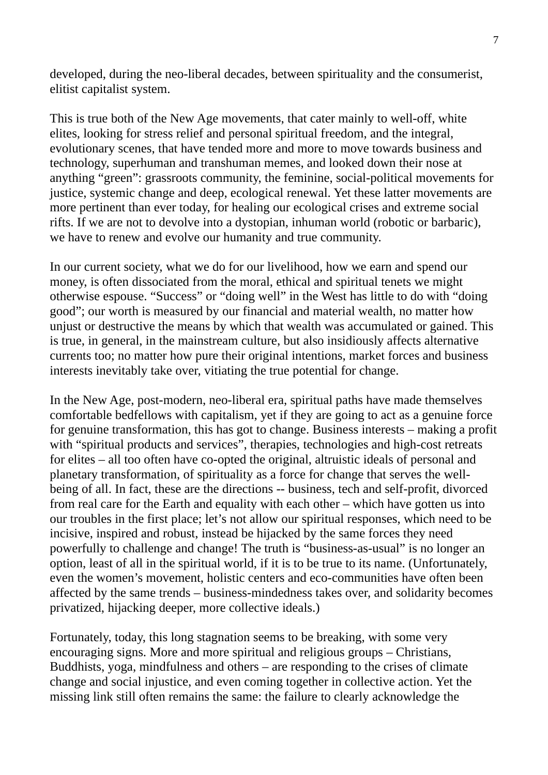developed, during the neo-liberal decades, between spirituality and the consumerist, elitist capitalist system.

This is true both of the New Age movements, that cater mainly to well-off, white elites, looking for stress relief and personal spiritual freedom, and the integral, evolutionary scenes, that have tended more and more to move towards business and technology, superhuman and transhuman memes, and looked down their nose at anything "green": grassroots community, the feminine, social-political movements for justice, systemic change and deep, ecological renewal. Yet these latter movements are more pertinent than ever today, for healing our ecological crises and extreme social rifts. If we are not to devolve into a dystopian, inhuman world (robotic or barbaric), we have to renew and evolve our humanity and true community.

In our current society, what we do for our livelihood, how we earn and spend our money, is often dissociated from the moral, ethical and spiritual tenets we might otherwise espouse. "Success" or "doing well" in the West has little to do with "doing good"; our worth is measured by our financial and material wealth, no matter how unjust or destructive the means by which that wealth was accumulated or gained. This is true, in general, in the mainstream culture, but also insidiously affects alternative currents too; no matter how pure their original intentions, market forces and business interests inevitably take over, vitiating the true potential for change.

In the New Age, post-modern, neo-liberal era, spiritual paths have made themselves comfortable bedfellows with capitalism, yet if they are going to act as a genuine force for genuine transformation, this has got to change. Business interests – making a profit with "spiritual products and services", therapies, technologies and high-cost retreats for elites – all too often have co-opted the original, altruistic ideals of personal and planetary transformation, of spirituality as a force for change that serves the wellbeing of all. In fact, these are the directions -- business, tech and self-profit, divorced from real care for the Earth and equality with each other – which have gotten us into our troubles in the first place; let's not allow our spiritual responses, which need to be incisive, inspired and robust, instead be hijacked by the same forces they need powerfully to challenge and change! The truth is "business-as-usual" is no longer an option, least of all in the spiritual world, if it is to be true to its name. (Unfortunately, even the women's movement, holistic centers and eco-communities have often been affected by the same trends – business-mindedness takes over, and solidarity becomes privatized, hijacking deeper, more collective ideals.)

Fortunately, today, this long stagnation seems to be breaking, with some very encouraging signs. More and more spiritual and religious groups – Christians, Buddhists, yoga, mindfulness and others – are responding to the crises of climate change and social injustice, and even coming together in collective action. Yet the missing link still often remains the same: the failure to clearly acknowledge the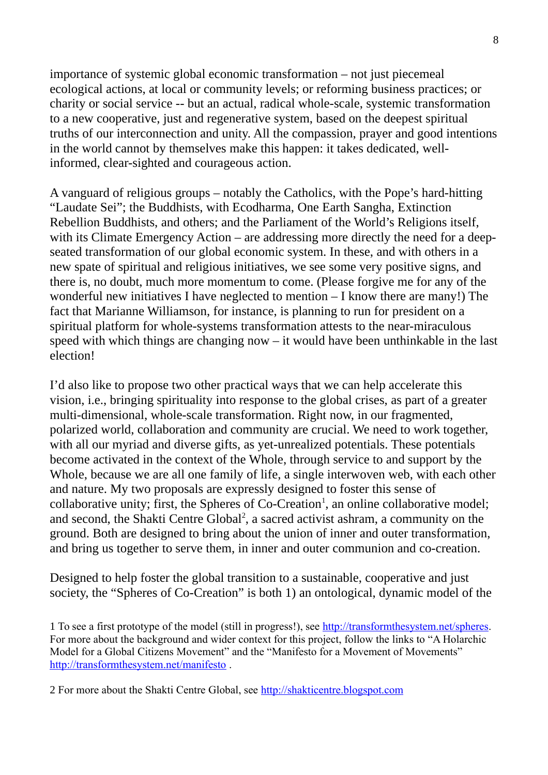importance of systemic global economic transformation – not just piecemeal ecological actions, at local or community levels; or reforming business practices; or charity or social service -- but an actual, radical whole-scale, systemic transformation to a new cooperative, just and regenerative system, based on the deepest spiritual truths of our interconnection and unity. All the compassion, prayer and good intentions in the world cannot by themselves make this happen: it takes dedicated, wellinformed, clear-sighted and courageous action.

A vanguard of religious groups – notably the Catholics, with the Pope's hard-hitting "Laudate Sei"; the Buddhists, with Ecodharma, One Earth Sangha, Extinction Rebellion Buddhists, and others; and the Parliament of the World's Religions itself, with its Climate Emergency Action – are addressing more directly the need for a deepseated transformation of our global economic system. In these, and with others in a new spate of spiritual and religious initiatives, we see some very positive signs, and there is, no doubt, much more momentum to come. (Please forgive me for any of the wonderful new initiatives I have neglected to mention  $-I$  know there are many!) The fact that Marianne Williamson, for instance, is planning to run for president on a spiritual platform for whole-systems transformation attests to the near-miraculous speed with which things are changing now  $-$  it would have been unthinkable in the last election!

I'd also like to propose two other practical ways that we can help accelerate this vision, i.e., bringing spirituality into response to the global crises, as part of a greater multi-dimensional, whole-scale transformation. Right now, in our fragmented, polarized world, collaboration and community are crucial. We need to work together, with all our myriad and diverse gifts, as yet-unrealized potentials. These potentials become activated in the context of the Whole, through service to and support by the Whole, because we are all one family of life, a single interwoven web, with each other and nature. My two proposals are expressly designed to foster this sense of collaborative unity; first, the Spheres of Co-Creation<sup>[1](#page-7-0)</sup>, an online collaborative model; and second, the Shakti Centre Global<sup>[2](#page-7-1)</sup>, a sacred activist ashram, a community on the ground. Both are designed to bring about the union of inner and outer transformation, and bring us together to serve them, in inner and outer communion and co-creation.

Designed to help foster the global transition to a sustainable, cooperative and just society, the "Spheres of Co-Creation" is both 1) an ontological, dynamic model of the

<span id="page-7-0"></span>1 To see a first prototype of the model (still in progress!), see [http://transformthesystem.net/spheres.](http://transformthesystem.net/spheres) For more about the background and wider context for this project, follow the links to "A Holarchic Model for a Global Citizens Movement" and the "Manifesto for a Movement of Movements" <http://transformthesystem.net/manifesto>.

<span id="page-7-1"></span>2 For more about the Shakti Centre Global, see [http://shakticentre.blogspot.com](http://shakticentre.blogspot.com/)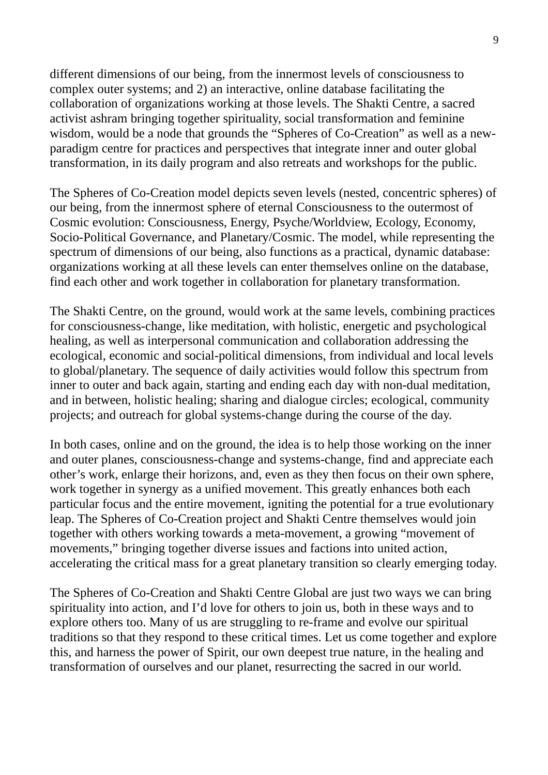different dimensions of our being, from the innermost levels of consciousness to complex outer systems; and 2) an interactive, online database facilitating the collaboration of organizations working at those levels. The Shakti Centre, a sacred activist ashram bringing together spirituality, social transformation and feminine wisdom, would be a node that grounds the "Spheres of Co-Creation" as well as a newparadigm centre for practices and perspectives that integrate inner and outer global transformation, in its daily program and also retreats and workshops for the public.

The Spheres of Co-Creation model depicts seven levels (nested, concentric spheres) of our being, from the innermost sphere of eternal Consciousness to the outermost of Cosmic evolution: Consciousness, Energy, Psyche/Worldview, Ecology, Economy, Socio-Political Governance, and Planetary/Cosmic. The model, while representing the spectrum of dimensions of our being, also functions as a practical, dynamic database: organizations working at all these levels can enter themselves online on the database, find each other and work together in collaboration for planetary transformation.

The Shakti Centre, on the ground, would work at the same levels, combining practices for consciousness-change, like meditation, with holistic, energetic and psychological healing, as well as interpersonal communication and collaboration addressing the ecological, economic and social-political dimensions, from individual and local levels to global/planetary. The sequence of daily activities would follow this spectrum from inner to outer and back again, starting and ending each day with non-dual meditation, and in between, holistic healing; sharing and dialogue circles; ecological, community projects; and outreach for global systems-change during the course of the day.

In both cases, online and on the ground, the idea is to help those working on the inner and outer planes, consciousness-change and systems-change, find and appreciate each other's work, enlarge their horizons, and, even as they then focus on their own sphere, work together in synergy as a unified movement. This greatly enhances both each particular focus and the entire movement, igniting the potential for a true evolutionary leap. The Spheres of Co-Creation project and Shakti Centre themselves would join together with others working towards a meta-movement, a growing "movement of movements," bringing together diverse issues and factions into united action, accelerating the critical mass for a great planetary transition so clearly emerging today.

The Spheres of Co-Creation and Shakti Centre Global are just two ways we can bring spirituality into action, and I'd love for others to join us, both in these ways and to explore others too. Many of us are struggling to re-frame and evolve our spiritual traditions so that they respond to these critical times. Let us come together and explore this, and harness the power of Spirit, our own deepest true nature, in the healing and transformation of ourselves and our planet, resurrecting the sacred in our world.